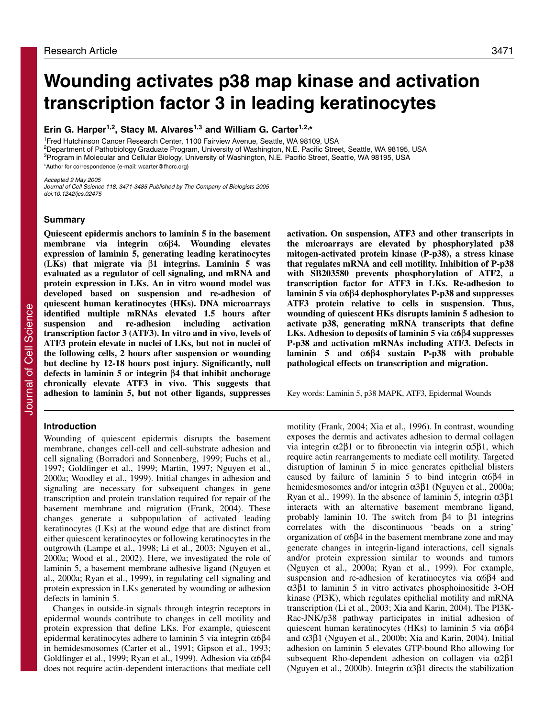# **Wounding activates p38 map kinase and activation transcription factor 3 in leading keratinocytes**

**Erin G. Harper1,2, Stacy M. Alvares1,3 and William G. Carter1,2,\***

<sup>1</sup>Fred Hutchinson Cancer Research Center, 1100 Fairview Avenue, Seattle, WA 98109, USA 2Department of Pathobiology Graduate Program, University of Washington, N.E. Pacific Street, Seattle, WA 98195, USA 3Program in Molecular and Cellular Biology, University of Washington, N.E. Pacific Street, Seattle, WA 98195, USA \*Author for correspondence (e-mail: wcarter@fhcrc.org)

Accepted 9 May 2005

Journal of Cell Science 118, 3471-3485 Published by The Company of Biologists 2005 doi:10.1242/jcs.02475

### **Summary**

**Quiescent epidermis anchors to laminin 5 in the basement membrane via integrin** α**6**β**4. Wounding elevates expression of laminin 5, generating leading keratinocytes (LKs) that migrate via** β**1 integrins. Laminin 5 was evaluated as a regulator of cell signaling, and mRNA and protein expression in LKs. An in vitro wound model was developed based on suspension and re-adhesion of quiescent human keratinocytes (HKs). DNA microarrays identified multiple mRNAs elevated 1.5 hours after suspension and re-adhesion including activation transcription factor 3 (ATF3). In vitro and in vivo, levels of ATF3 protein elevate in nuclei of LKs, but not in nuclei of the following cells, 2 hours after suspension or wounding but decline by 12-18 hours post injury. Significantly, null defects in laminin 5 or integrin** β**4 that inhibit anchorage chronically elevate ATF3 in vivo. This suggests that adhesion to laminin 5, but not other ligands, suppresses**

### **Introduction**

Wounding of quiescent epidermis disrupts the basement membrane, changes cell-cell and cell-substrate adhesion and cell signaling (Borradori and Sonnenberg, 1999; Fuchs et al., 1997; Goldfinger et al., 1999; Martin, 1997; Nguyen et al., 2000a; Woodley et al., 1999). Initial changes in adhesion and signaling are necessary for subsequent changes in gene transcription and protein translation required for repair of the basement membrane and migration (Frank, 2004). These changes generate a subpopulation of activated leading keratinocytes (LKs) at the wound edge that are distinct from either quiescent keratinocytes or following keratinocytes in the outgrowth (Lampe et al., 1998; Li et al., 2003; Nguyen et al., 2000a; Wood et al., 2002). Here, we investigated the role of laminin 5, a basement membrane adhesive ligand (Nguyen et al., 2000a; Ryan et al., 1999), in regulating cell signaling and protein expression in LKs generated by wounding or adhesion defects in laminin 5.

Changes in outside-in signals through integrin receptors in epidermal wounds contribute to changes in cell motility and protein expression that define LKs. For example, quiescent epidermal keratinocytes adhere to laminin 5 via integrin  $α6β4$ in hemidesmosomes (Carter et al., 1991; Gipson et al., 1993; Goldfinger et al., 1999; Ryan et al., 1999). Adhesion via α6β4 does not require actin-dependent interactions that mediate cell **activation. On suspension, ATF3 and other transcripts in the microarrays are elevated by phosphorylated p38 mitogen-activated protein kinase (P-p38), a stress kinase that regulates mRNA and cell motility. Inhibition of P-p38 with SB203580 prevents phosphorylation of ATF2, a transcription factor for ATF3 in LKs. Re-adhesion to laminin 5 via** α**6**β**4 dephosphorylates P-p38 and suppresses ATF3 protein relative to cells in suspension. Thus, wounding of quiescent HKs disrupts laminin 5 adhesion to activate p38, generating mRNA transcripts that define LKs. Adhesion to deposits of laminin 5 via** α**6**β**4 suppresses P-p38 and activation mRNAs including ATF3. Defects in laminin 5 and** α**6**β**4 sustain P-p38 with probable pathological effects on transcription and migration.**

Key words: Laminin 5, p38 MAPK, ATF3, Epidermal Wounds

motility (Frank, 2004; Xia et al., 1996). In contrast, wounding exposes the dermis and activates adhesion to dermal collagen via integrin α2β1 or to fibronectin via integrin α5β1, which require actin rearrangements to mediate cell motility. Targeted disruption of laminin 5 in mice generates epithelial blisters caused by failure of laminin 5 to bind integrin  $\alpha$ 6 $\beta$ 4 in hemidesmosomes and/or integrin α3β1 (Nguyen et al., 2000a; Ryan et al., 1999). In the absence of laminin 5, integrin  $α3β1$ interacts with an alternative basement membrane ligand, probably laminin 10. The switch from  $β$ 4 to  $β$ 1 integrins correlates with the discontinuous 'beads on a string' organization of α6β4 in the basement membrane zone and may generate changes in integrin-ligand interactions, cell signals and/or protein expression similar to wounds and tumors (Nguyen et al., 2000a; Ryan et al., 1999). For example, suspension and re-adhesion of keratinocytes via α6β4 and α3β1 to laminin 5 in vitro activates phosphoinositide 3-OH kinase (PI3K), which regulates epithelial motility and mRNA transcription (Li et al., 2003; Xia and Karin, 2004). The PI3K-Rac-JNK/p38 pathway participates in initial adhesion of quiescent human keratinocytes (HKs) to laminin 5 via  $α6β4$ and α3β1 (Nguyen et al., 2000b; Xia and Karin, 2004). Initial adhesion on laminin 5 elevates GTP-bound Rho allowing for subsequent Rho-dependent adhesion on collagen via α2β1 (Nguyen et al., 2000b). Integrin α3β1 directs the stabilization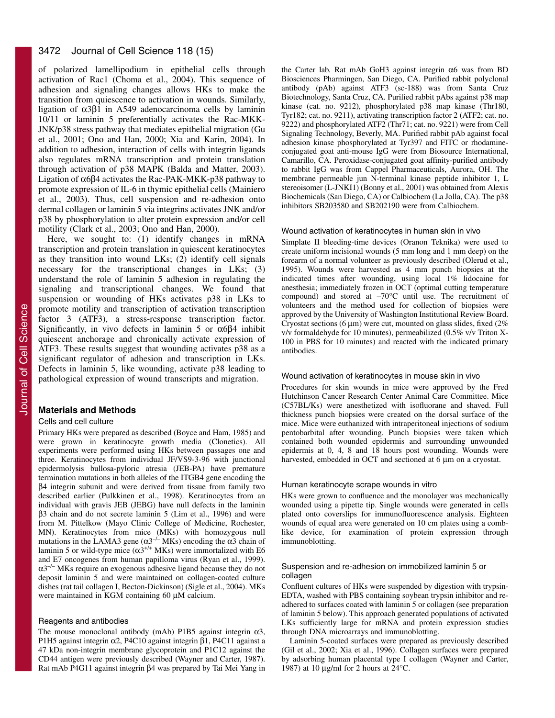### 3472 Journal of Cell Science 118 (15)

of polarized lamellipodium in epithelial cells through activation of Rac1 (Choma et al., 2004). This sequence of adhesion and signaling changes allows HKs to make the transition from quiescence to activation in wounds. Similarly, ligation of  $α3β1$  in A549 adenocarcinoma cells by laminin 10/11 or laminin 5 preferentially activates the Rac-MKK-JNK/p38 stress pathway that mediates epithelial migration (Gu et al., 2001; Ono and Han, 2000; Xia and Karin, 2004). In addition to adhesion, interaction of cells with integrin ligands also regulates mRNA transcription and protein translation through activation of p38 MAPK (Balda and Matter, 2003). Ligation of α6β4 activates the Rac-PAK-MKK-p38 pathway to promote expression of IL-6 in thymic epithelial cells (Mainiero et al., 2003). Thus, cell suspension and re-adhesion onto dermal collagen or laminin 5 via integrins activates JNK and/or p38 by phosphorylation to alter protein expression and/or cell motility (Clark et al., 2003; Ono and Han, 2000).

Here, we sought to: (1) identify changes in mRNA transcription and protein translation in quiescent keratinocytes as they transition into wound LKs; (2) identify cell signals necessary for the transcriptional changes in LKs; (3) understand the role of laminin 5 adhesion in regulating the signaling and transcriptional changes. We found that suspension or wounding of HKs activates p38 in LKs to promote motility and transcription of activation transcription factor 3 (ATF3), a stress-response transcription factor. Significantly, in vivo defects in laminin 5 or α6β4 inhibit quiescent anchorage and chronically activate expression of ATF3. These results suggest that wounding activates p38 as a significant regulator of adhesion and transcription in LKs. Defects in laminin 5, like wounding, activate p38 leading to pathological expression of wound transcripts and migration.

### **Materials and Methods**

#### Cells and cell culture

Primary HKs were prepared as described (Boyce and Ham, 1985) and were grown in keratinocyte growth media (Clonetics). All experiments were performed using HKs between passages one and three. Keratinocytes from individual JF/VS9-3-96 with junctional epidermolysis bullosa-pyloric atresia (JEB-PA) have premature termination mutations in both alleles of the ITGB4 gene encoding the β4 integrin subunit and were derived from tissue from family two described earlier (Pulkkinen et al., 1998). Keratinocytes from an individual with gravis JEB (JEBG) have null defects in the laminin β3 chain and do not secrete laminin 5 (Lim et al., 1996) and were from M. Pittelkow (Mayo Clinic College of Medicine, Rochester, MN). Keratinocytes from mice (MKs) with homozygous null mutations in the LAMA3 gene ( $\alpha$ 3<sup>-/-</sup> MKs) encoding the  $\alpha$ 3 chain of laminin 5 or wild-type mice  $(\alpha 3^{+/+}$  MKs) were immortalized with E6 and E7 oncogenes from human papilloma virus (Ryan et al., 1999).  $\alpha$ 3<sup>-/–</sup> MKs require an exogenous adhesive ligand because they do not deposit laminin 5 and were maintained on collagen-coated culture dishes (rat tail collagen I, Becton-Dickinson) (Sigle et al., 2004). MKs were maintained in KGM containing 60 μM calcium.

#### Reagents and antibodies

The mouse monoclonal antibody (mAb) P1B5 against integrin  $\alpha$ 3, P1H5 against integrin α2, P4C10 against integrin β1, P4C11 against a 47 kDa non-integrin membrane glycoprotein and P1C12 against the CD44 antigen were previously described (Wayner and Carter, 1987). Rat mAb P4G11 against integrin β4 was prepared by Tai Mei Yang in the Carter lab. Rat mAb GoH3 against integrin α6 was from BD Biosciences Pharmingen, San Diego, CA. Purified rabbit polyclonal antibody (pAb) against ATF3 (sc-188) was from Santa Cruz Biotechnology, Santa Cruz, CA. Purified rabbit pAbs against p38 map kinase (cat. no. 9212), phosphorylated p38 map kinase (Thr180, Tyr182; cat. no. 9211), activating transcription factor 2 (ATF2; cat. no. 9222) and phosphorylated ATF2 (Thr71; cat. no. 9221) were from Cell Signaling Technology, Beverly, MA. Purified rabbit pAb against focal adhesion kinase phosphorylated at Tyr397 and FITC or rhodamineconjugated goat anti-mouse IgG were from Biosource International, Camarillo, CA. Peroxidase-conjugated goat affinity-purified antibody to rabbit IgG was from Cappel Pharmaceuticals, Aurora, OH. The membrane permeable jun N-terminal kinase peptide inhibitor 1, L stereoisomer (L-JNKI1) (Bonny et al., 2001) was obtained from Alexis Biochemicals (San Diego, CA) or Calbiochem (La Jolla, CA). The p38 inhibitors SB203580 and SB202190 were from Calbiochem.

#### Wound activation of keratinocytes in human skin in vivo

Simplate II bleeding-time devices (Oranon Teknika) were used to create uniform incisional wounds (5 mm long and 1 mm deep) on the forearm of a normal volunteer as previously described (Olerud et al., 1995). Wounds were harvested as 4 mm punch biopsies at the indicated times after wounding, using local 1% lidocaine for anesthesia; immediately frozen in OCT (optimal cutting temperature compound) and stored at –70°C until use. The recruitment of volunteers and the method used for collection of biopsies were approved by the University of Washington Institutional Review Board. Cryostat sections (6 μm) were cut, mounted on glass slides, fixed (2% v/v formaldehyde for 10 minutes), permeabilized (0.5% v/v Triton X-100 in PBS for 10 minutes) and reacted with the indicated primary antibodies.

#### Wound activation of keratinocytes in mouse skin in vivo

Procedures for skin wounds in mice were approved by the Fred Hutchinson Cancer Research Center Animal Care Committee. Mice (C57BL/Ks) were anesthetized with isofluorane and shaved. Full thickness punch biopsies were created on the dorsal surface of the mice. Mice were euthanized with intraperitoneal injections of sodium pentobarbital after wounding. Punch biopsies were taken which contained both wounded epidermis and surrounding unwounded epidermis at 0, 4, 8 and 18 hours post wounding. Wounds were harvested, embedded in OCT and sectioned at 6 μm on a cryostat.

#### Human keratinocyte scrape wounds in vitro

HKs were grown to confluence and the monolayer was mechanically wounded using a pipette tip. Single wounds were generated in cells plated onto coverslips for immunofluorescence analysis. Eighteen wounds of equal area were generated on 10 cm plates using a comblike device, for examination of protein expression through immunoblotting.

#### Suspension and re-adhesion on immobilized laminin 5 or collagen

Confluent cultures of HKs were suspended by digestion with trypsin-EDTA, washed with PBS containing soybean trypsin inhibitor and readhered to surfaces coated with laminin 5 or collagen (see preparation of laminin 5 below). This approach generated populations of activated LKs sufficiently large for mRNA and protein expression studies through DNA microarrays and immunoblotting.

Laminin 5-coated surfaces were prepared as previously described (Gil et al., 2002; Xia et al., 1996). Collagen surfaces were prepared by adsorbing human placental type I collagen (Wayner and Carter, 1987) at 10  $\mu$ g/ml for 2 hours at 24°C.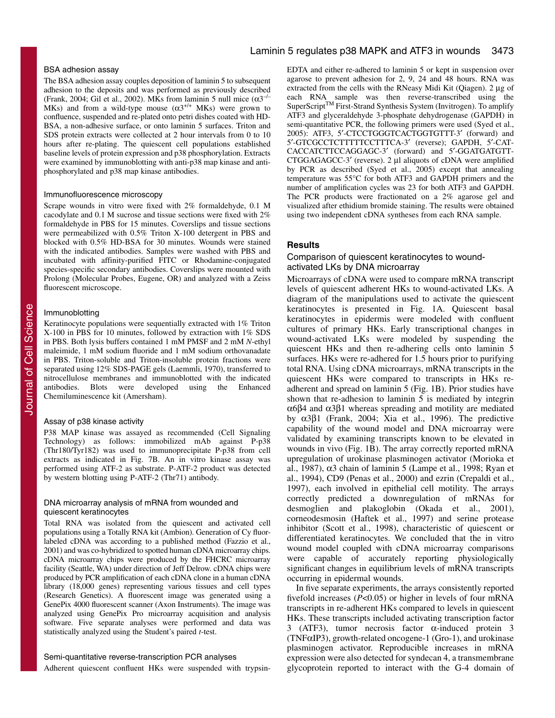### BSA adhesion assay

The BSA adhesion assay couples deposition of laminin 5 to subsequent adhesion to the deposits and was performed as previously described (Frank, 2004; Gil et al., 2002). MKs from laminin 5 null mice  $(\alpha 3^{-/-})$ MKs) and from a wild-type mouse  $(\alpha 3^{+/+}$  MKs) were grown to confluence, suspended and re-plated onto petri dishes coated with HD-BSA, a non-adhesive surface, or onto laminin 5 surfaces. Triton and SDS protein extracts were collected at 2 hour intervals from 0 to 10 hours after re-plating. The quiescent cell populations established baseline levels of protein expression and p38 phosphorylation. Extracts were examined by immunoblotting with anti-p38 map kinase and antiphosphorylated and p38 map kinase antibodies.

#### Immunofluorescence microscopy

Scrape wounds in vitro were fixed with 2% formaldehyde, 0.1 M cacodylate and 0.1 M sucrose and tissue sections were fixed with 2% formaldehyde in PBS for 15 minutes. Coverslips and tissue sections were permeabilized with 0.5% Triton X-100 detergent in PBS and blocked with 0.5% HD-BSA for 30 minutes. Wounds were stained with the indicated antibodies. Samples were washed with PBS and incubated with affinity-purified FITC or Rhodamine-conjugated species-specific secondary antibodies. Coverslips were mounted with Prolong (Molecular Probes, Eugene, OR) and analyzed with a Zeiss fluorescent microscope.

#### Immunoblotting

Keratinocyte populations were sequentially extracted with 1% Triton X-100 in PBS for 10 minutes, followed by extraction with 1% SDS in PBS. Both lysis buffers contained 1 mM PMSF and 2 mM *N*-ethyl maleimide, 1 mM sodium fluoride and 1 mM sodium orthovanadate in PBS. Triton-soluble and Triton-insoluble protein fractions were separated using 12% SDS-PAGE gels (Laemmli, 1970), transferred to nitrocellulose membranes and immunoblotted with the indicated antibodies. Blots were developed using the Enhanced Chemiluminescence kit (Amersham).

#### Assay of p38 kinase activity

P38 MAP kinase was assayed as recommended (Cell Signaling Technology) as follows: immobilized mAb against P-p38 (Thr180/Tyr182) was used to immunoprecipitate P-p38 from cell extracts as indicated in Fig. 7B. An in vitro kinase assay was performed using ATF-2 as substrate. P-ATF-2 product was detected by western blotting using P-ATF-2 (Thr71) antibody.

#### DNA microarray analysis of mRNA from wounded and quiescent keratinocytes

Total RNA was isolated from the quiescent and activated cell populations using a Totally RNA kit (Ambion). Generation of Cy fluorlabeled cDNA was according to a published method (Fazzio et al., 2001) and was co-hybridized to spotted human cDNA microarray chips. cDNA microarray chips were produced by the FHCRC microarray facility (Seattle, WA) under direction of Jeff Delrow. cDNA chips were produced by PCR amplification of each cDNA clone in a human cDNA library (18,000 genes) representing various tissues and cell types (Research Genetics). A fluorescent image was generated using a GenePix 4000 fluorescent scanner (Axon Instruments). The image was analyzed using GenePix Pro microarray acquisition and analysis software. Five separate analyses were performed and data was statistically analyzed using the Student's paired *t*-test.

#### Semi-quantitative reverse-transcription PCR analyses

Adherent quiescent confluent HKs were suspended with trypsin-

# Laminin 5 regulates p38 MAPK and ATF3 in wounds 3473

EDTA and either re-adhered to laminin 5 or kept in suspension over agarose to prevent adhesion for 2, 9, 24 and 48 hours. RNA was extracted from the cells with the RNeasy Midi Kit (Qiagen). 2 μg of each RNA sample was then reverse-transcribed using the SuperScript<sup>TM</sup> First-Strand Synthesis System (Invitrogen). To amplify ATF3 and glyceraldehyde 3-phosphate dehydrogenase (GAPDH) in semi-quantitative PCR, the following primers were used (Syed et al., 2005): ATF3, 5′-CTCCTGGGTCACTGGTGTTT-3′ (forward) and 5′-GTCGCCTCTTTTTCCTTTCA-3′ (reverse); GAPDH, 5′-CAT-CACCATCTTCCAGGAGC-3′ (forward) and 5′-GGATGATGTT-CTGGAGAGCC-3′ (reverse). 2 μl aliquots of cDNA were amplified by PCR as described (Syed et al., 2005) except that annealing temperature was 55°C for both ATF3 and GAPDH primers and the number of amplification cycles was 23 for both ATF3 and GAPDH. The PCR products were fractionated on a 2% agarose gel and visualized after ethidium bromide staining. The results were obtained using two independent cDNA syntheses from each RNA sample.

### **Results**

#### Comparison of quiescent keratinocytes to woundactivated LKs by DNA microarray

Microarrays of cDNA were used to compare mRNA transcript levels of quiescent adherent HKs to wound-activated LKs. A diagram of the manipulations used to activate the quiescent keratinocytes is presented in Fig. 1A. Quiescent basal keratinocytes in epidermis were modeled with confluent cultures of primary HKs. Early transcriptional changes in wound-activated LKs were modeled by suspending the quiescent HKs and then re-adhering cells onto laminin 5 surfaces. HKs were re-adhered for 1.5 hours prior to purifying total RNA. Using cDNA microarrays, mRNA transcripts in the quiescent HKs were compared to transcripts in HKs readherent and spread on laminin 5 (Fig. 1B). Prior studies have shown that re-adhesion to laminin 5 is mediated by integrin α6β4 and α3β1 whereas spreading and motility are mediated by α3β1 (Frank, 2004; Xia et al., 1996). The predictive capability of the wound model and DNA microarray were validated by examining transcripts known to be elevated in wounds in vivo (Fig. 1B). The array correctly reported mRNA upregulation of urokinase plasminogen activator (Morioka et al., 1987),  $α3$  chain of laminin 5 (Lampe et al., 1998; Ryan et al., 1994), CD9 (Penas et al., 2000) and ezrin (Crepaldi et al., 1997), each involved in epithelial cell motility. The arrays correctly predicted a downregulation of mRNAs for desmoglien and plakoglobin (Okada et al., 2001), corneodesmosin (Haftek et al., 1997) and serine protease inhibitor (Scott et al., 1998), characteristic of quiescent or differentiated keratinocytes. We concluded that the in vitro wound model coupled with cDNA microarray comparisons were capable of accurately reporting physiologically significant changes in equilibrium levels of mRNA transcripts occurring in epidermal wounds.

In five separate experiments, the arrays consistently reported fivefold increases (*P*<0.05) or higher in levels of four mRNA transcripts in re-adherent HKs compared to levels in quiescent HKs. These transcripts included activating transcription factor 3 (ATF3), tumor necrosis factor α-induced protein 3 (TNFαIP3), growth-related oncogene-1 (Gro-1), and urokinase plasminogen activator. Reproducible increases in mRNA expression were also detected for syndecan 4, a transmembrane glycoprotein reported to interact with the G-4 domain of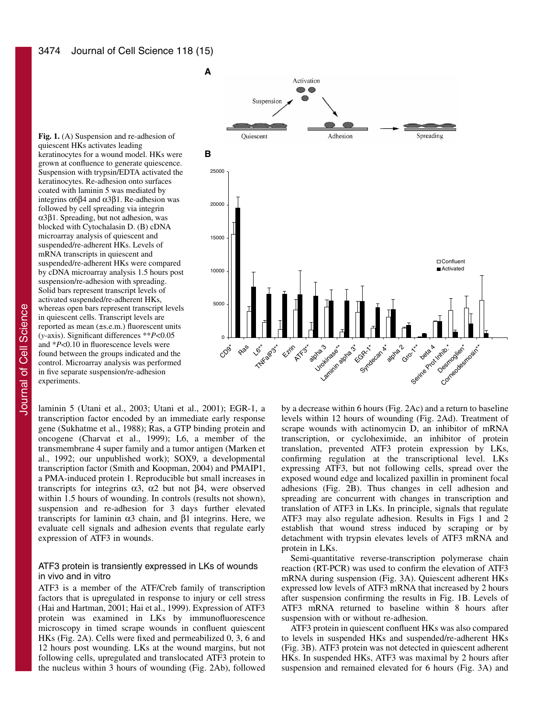**Fig. 1.** (A) Suspension and re-adhesion of quiescent HKs activates leading keratinocytes for a wound model. HKs were grown at confluence to generate quiescence. Suspension with trypsin/EDTA activated the keratinocytes. Re-adhesion onto surfaces coated with laminin 5 was mediated by integrins  $\alpha$ 6β4 and  $\alpha$ 3β1. Re-adhesion was followed by cell spreading via integrin α3β1. Spreading, but not adhesion, was blocked with Cytochalasin D. (B) cDNA microarray analysis of quiescent and suspended/re-adherent HKs. Levels of mRNA transcripts in quiescent and suspended/re-adherent HKs were compared by cDNA microarray analysis 1.5 hours post suspension/re-adhesion with spreading. Solid bars represent transcript levels of activated suspended/re-adherent HKs, whereas open bars represent transcript levels in quiescent cells. Transcript levels are reported as mean (±s.e.m.) fluorescent units (*y*-axis). Significant differences \*\**P*<0.05 and \**P*<0.10 in fluorescence levels were found between the groups indicated and the control. Microarray analysis was performed in five separate suspension/re-adhesion experiments.

laminin 5 (Utani et al., 2003; Utani et al., 2001); EGR-1, a transcription factor encoded by an immediate early response gene (Sukhatme et al., 1988); Ras, a GTP binding protein and oncogene (Charvat et al., 1999); L6, a member of the transmembrane 4 super family and a tumor antigen (Marken et al., 1992; our unpublished work); SOX9, a developmental transcription factor (Smith and Koopman, 2004) and PMAIP1, a PMA-induced protein 1. Reproducible but small increases in transcripts for integrins α3, α2 but not β4, were observed within 1.5 hours of wounding. In controls (results not shown), suspension and re-adhesion for 3 days further elevated transcripts for laminin α3 chain, and β1 integrins. Here, we evaluate cell signals and adhesion events that regulate early expression of ATF3 in wounds.

#### ATF3 protein is transiently expressed in LKs of wounds in vivo and in vitro

ATF3 is a member of the ATF/Creb family of transcription factors that is upregulated in response to injury or cell stress (Hai and Hartman, 2001; Hai et al., 1999). Expression of ATF3 protein was examined in LKs by immunofluorescence microscopy in timed scrape wounds in confluent quiescent HKs (Fig. 2A). Cells were fixed and permeabilized 0, 3, 6 and 12 hours post wounding. LKs at the wound margins, but not following cells, upregulated and translocated ATF3 protein to the nucleus within 3 hours of wounding (Fig. 2Ab), followed



by a decrease within 6 hours (Fig. 2Ac) and a return to baseline levels within 12 hours of wounding (Fig. 2Ad). Treatment of scrape wounds with actinomycin D, an inhibitor of mRNA transcription, or cycloheximide, an inhibitor of protein translation, prevented ATF3 protein expression by LKs, confirming regulation at the transcriptional level. LKs expressing ATF3, but not following cells, spread over the exposed wound edge and localized paxillin in prominent focal adhesions (Fig. 2B). Thus changes in cell adhesion and spreading are concurrent with changes in transcription and translation of ATF3 in LKs. In principle, signals that regulate ATF3 may also regulate adhesion. Results in Figs 1 and 2 establish that wound stress induced by scraping or by detachment with trypsin elevates levels of ATF3 mRNA and protein in LKs.

Semi-quantitative reverse-transcription polymerase chain reaction (RT-PCR) was used to confirm the elevation of ATF3 mRNA during suspension (Fig. 3A). Quiescent adherent HKs expressed low levels of ATF3 mRNA that increased by 2 hours after suspension confirming the results in Fig. 1B. Levels of ATF3 mRNA returned to baseline within 8 hours after suspension with or without re-adhesion.

ATF3 protein in quiescent confluent HKs was also compared to levels in suspended HKs and suspended/re-adherent HKs (Fig. 3B). ATF3 protein was not detected in quiescent adherent HKs. In suspended HKs, ATF3 was maximal by 2 hours after suspension and remained elevated for 6 hours (Fig. 3A) and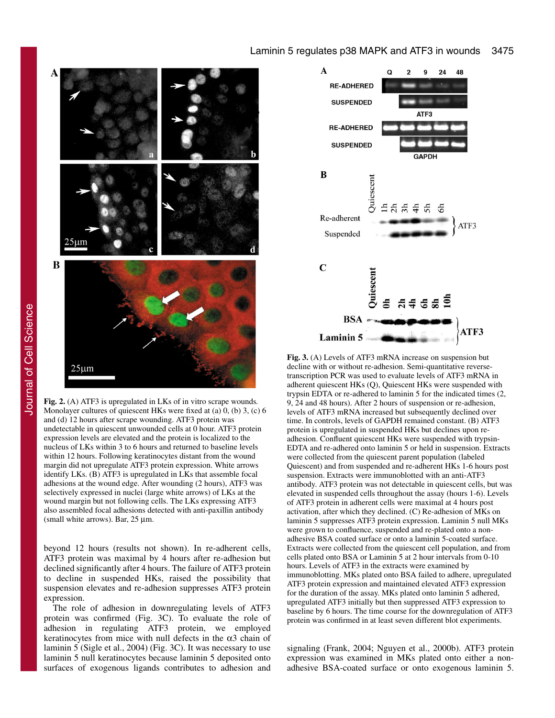

Journal of Cell Science Journal of Cell Science

**Fig. 2.** (A) ATF3 is upregulated in LKs of in vitro scrape wounds*.* Monolayer cultures of quiescent HKs were fixed at (a) 0, (b) 3, (c) 6 and (d) 12 hours after scrape wounding. ATF3 protein was undetectable in quiescent unwounded cells at 0 hour. ATF3 protein expression levels are elevated and the protein is localized to the nucleus of LKs within 3 to 6 hours and returned to baseline levels within 12 hours. Following keratinocytes distant from the wound margin did not upregulate ATF3 protein expression. White arrows identify LKs. (B) ATF3 is upregulated in LKs that assemble focal adhesions at the wound edge. After wounding (2 hours), ATF3 was selectively expressed in nuclei (large white arrows) of LKs at the wound margin but not following cells. The LKs expressing ATF3 also assembled focal adhesions detected with anti-paxillin antibody (small white arrows). Bar, 25 μm.

beyond 12 hours (results not shown). In re-adherent cells, ATF3 protein was maximal by 4 hours after re-adhesion but declined significantly after 4 hours. The failure of ATF3 protein to decline in suspended HKs, raised the possibility that suspension elevates and re-adhesion suppresses ATF3 protein expression.

The role of adhesion in downregulating levels of ATF3 protein was confirmed (Fig. 3C). To evaluate the role of adhesion in regulating ATF3 protein, we employed keratinocytes from mice with null defects in the  $\alpha$ 3 chain of laminin 5 (Sigle et al., 2004) (Fig. 3C). It was necessary to use laminin 5 null keratinocytes because laminin 5 deposited onto surfaces of exogenous ligands contributes to adhesion and



**Fig. 3.** (A) Levels of ATF3 mRNA increase on suspension but decline with or without re-adhesion. Semi-quantitative reversetranscription PCR was used to evaluate levels of ATF3 mRNA in adherent quiescent HKs (Q), Quiescent HKs were suspended with trypsin EDTA or re-adhered to laminin 5 for the indicated times (2, 9, 24 and 48 hours). After 2 hours of suspension or re-adhesion, levels of ATF3 mRNA increased but subsequently declined over time. In controls, levels of GAPDH remained constant. (B) ATF3 protein is upregulated in suspended HKs but declines upon readhesion. Confluent quiescent HKs were suspended with trypsin-EDTA and re-adhered onto laminin 5 or held in suspension. Extracts were collected from the quiescent parent population (labeled Quiescent) and from suspended and re-adherent HKs 1-6 hours post suspension. Extracts were immunoblotted with an anti-ATF3 antibody. ATF3 protein was not detectable in quiescent cells, but was elevated in suspended cells throughout the assay (hours 1-6). Levels of ATF3 protein in adherent cells were maximal at 4 hours post activation, after which they declined. (C) Re-adhesion of MKs on laminin 5 suppresses ATF3 protein expression. Laminin 5 null MKs were grown to confluence, suspended and re-plated onto a nonadhesive BSA coated surface or onto a laminin 5-coated surface. Extracts were collected from the quiescent cell population, and from cells plated onto BSA or Laminin 5 at 2 hour intervals from 0-10 hours. Levels of ATF3 in the extracts were examined by immunoblotting. MKs plated onto BSA failed to adhere, upregulated ATF3 protein expression and maintained elevated ATF3 expression for the duration of the assay. MKs plated onto laminin 5 adhered, upregulated ATF3 initially but then suppressed ATF3 expression to baseline by 6 hours. The time course for the downregulation of ATF3 protein was confirmed in at least seven different blot experiments.

signaling (Frank, 2004; Nguyen et al., 2000b). ATF3 protein expression was examined in MKs plated onto either a nonadhesive BSA-coated surface or onto exogenous laminin 5.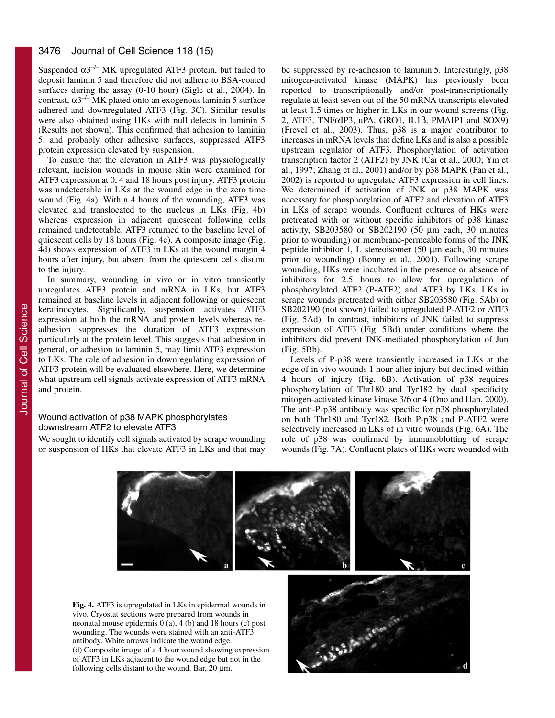Suspended  $\alpha$ 3<sup>-/-</sup> MK upregulated ATF3 protein, but failed to deposit laminin 5 and therefore did not adhere to BSA-coated surfaces during the assay (0-10 hour) (Sigle et al., 2004). In contrast,  $\alpha$ 3<sup>-/-</sup> MK plated onto an exogenous laminin 5 surface adhered and downregulated ATF3 (Fig. 3C). Similar results were also obtained using HKs with null defects in laminin 5 (Results not shown). This confirmed that adhesion to laminin 5, and probably other adhesive surfaces, suppressed ATF3 protein expression elevated by suspension.

To ensure that the elevation in ATF3 was physiologically relevant, incision wounds in mouse skin were examined for ATF3 expression at 0, 4 and 18 hours post injury. ATF3 protein was undetectable in LKs at the wound edge in the zero time wound (Fig. 4a). Within 4 hours of the wounding, ATF3 was elevated and translocated to the nucleus in LKs (Fig. 4b) whereas expression in adjacent quiescent following cells remained undetectable. ATF3 returned to the baseline level of quiescent cells by 18 hours (Fig. 4c). A composite image (Fig. 4d) shows expression of ATF3 in LKs at the wound margin 4 hours after injury, but absent from the quiescent cells distant to the injury.

In summary, wounding in vivo or in vitro transiently upregulates ATF3 protein and mRNA in LKs, but ATF3 remained at baseline levels in adjacent following or quiescent keratinocytes. Significantly, suspension activates ATF3 expression at both the mRNA and protein levels whereas readhesion suppresses the duration of ATF3 expression particularly at the protein level. This suggests that adhesion in general, or adhesion to laminin 5, may limit ATF3 expression to LKs. The role of adhesion in downregulating expression of ATF3 protein will be evaluated elsewhere. Here, we determine what upstream cell signals activate expression of ATF3 mRNA and protein.

## Wound activation of p38 MAPK phosphorylates downstream ATF2 to elevate ATF3

We sought to identify cell signals activated by scrape wounding or suspension of HKs that elevate ATF3 in LKs and that may be suppressed by re-adhesion to laminin 5. Interestingly, p38 mitogen-activated kinase (MAPK) has previously been reported to transcriptionally and/or post-transcriptionally regulate at least seven out of the 50 mRNA transcripts elevated at least 1.5 times or higher in LKs in our wound screens (Fig. 2, ATF3, TNFαIP3, uPA, GRO1, IL1β, PMAIP1 and SOX9) (Frevel et al., 2003). Thus, p38 is a major contributor to increases in mRNA levels that define LKs and is also a possible upstream regulator of ATF3. Phosphorylation of activation transcription factor 2 (ATF2) by JNK (Cai et al., 2000; Yin et al., 1997; Zhang et al., 2001) and/or by p38 MAPK (Fan et al., 2002) is reported to upregulate ATF3 expression in cell lines. We determined if activation of JNK or p38 MAPK was necessary for phosphorylation of ATF2 and elevation of ATF3 in LKs of scrape wounds. Confluent cultures of HKs were pretreated with or without specific inhibitors of p38 kinase activity, SB203580 or SB202190 (50 μm each, 30 minutes prior to wounding) or membrane-permeable forms of the JNK peptide inhibitor 1, L stereoisomer (50 μm each, 30 minutes prior to wounding) (Bonny et al., 2001). Following scrape wounding, HKs were incubated in the presence or absence of inhibitors for 2.5 hours to allow for upregulation of phosphorylated ATF2 (P-ATF2) and ATF3 by LKs. LKs in scrape wounds pretreated with either SB203580 (Fig. 5Ab) or SB202190 (not shown) failed to upregulated P-ATF2 or ATF3 (Fig. 5Ad). In contrast, inhibitors of JNK failed to suppress expression of ATF3 (Fig. 5Bd) under conditions where the inhibitors did prevent JNK-mediated phosphorylation of Jun (Fig. 5Bb).

Levels of P-p38 were transiently increased in LKs at the edge of in vivo wounds 1 hour after injury but declined within 4 hours of injury (Fig. 6B). Activation of p38 requires phosphorylation of Thr180 and Tyr182 by dual specificity mitogen-activated kinase kinase 3/6 or 4 (Ono and Han, 2000). The anti-P-p38 antibody was specific for p38 phosphorylated on both Thr180 and Tyr182. Both P-p38 and P-ATF2 were selectively increased in LKs of in vitro wounds (Fig. 6A). The role of p38 was confirmed by immunoblotting of scrape wounds (Fig. 7A). Confluent plates of HKs were wounded with



**Fig. 4.** ATF3 is upregulated in LKs in epidermal wounds in vivo. Cryostat sections were prepared from wounds in neonatal mouse epidermis  $0$  (a),  $4$  (b) and 18 hours (c) post wounding. The wounds were stained with an anti-ATF3 antibody. White arrows indicate the wound edge. (d) Composite image of a 4 hour wound showing expression of ATF3 in LKs adjacent to the wound edge but not in the following cells distant to the wound. Bar, 20 μm.

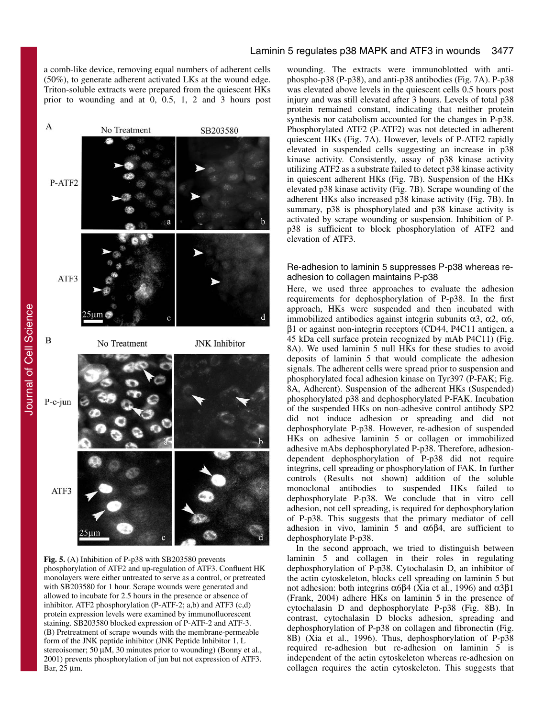a comb-like device, removing equal numbers of adherent cells (50%), to generate adherent activated LKs at the wound edge. Triton-soluble extracts were prepared from the quiescent HKs prior to wounding and at 0, 0.5, 1, 2 and 3 hours post



**Fig. 5.** (A) Inhibition of P-p38 with SB203580 prevents phosphorylation of ATF2 and up-regulation of ATF3. Confluent HK monolayers were either untreated to serve as a control, or pretreated with SB203580 for 1 hour. Scrape wounds were generated and allowed to incubate for 2.5 hours in the presence or absence of inhibitor. ATF2 phosphorylation  $(P-ATF-2; a,b)$  and ATF3  $(c,d)$ protein expression levels were examined by immunofluorescent staining. SB203580 blocked expression of P-ATF-2 and ATF-3. (B) Pretreatment of scrape wounds with the membrane-permeable form of the JNK peptide inhibitor (JNK Peptide Inhibitor 1, L stereoisomer; 50 μM, 30 minutes prior to wounding) (Bonny et al., 2001) prevents phosphorylation of jun but not expression of ATF3. Bar, 25 μm.

wounding. The extracts were immunoblotted with antiphospho-p38 (P-p38), and anti-p38 antibodies (Fig. 7A). P-p38 was elevated above levels in the quiescent cells 0.5 hours post injury and was still elevated after 3 hours. Levels of total p38 protein remained constant, indicating that neither protein synthesis nor catabolism accounted for the changes in P-p38. Phosphorylated ATF2 (P-ATF2) was not detected in adherent quiescent HKs (Fig. 7A). However, levels of P-ATF2 rapidly elevated in suspended cells suggesting an increase in p38 kinase activity. Consistently, assay of p38 kinase activity utilizing ATF2 as a substrate failed to detect p38 kinase activity in quiescent adherent HKs (Fig. 7B). Suspension of the HKs elevated p38 kinase activity (Fig. 7B). Scrape wounding of the adherent HKs also increased p38 kinase activity (Fig. 7B). In summary, p38 is phosphorylated and p38 kinase activity is activated by scrape wounding or suspension. Inhibition of Pp38 is sufficient to block phosphorylation of ATF2 and elevation of ATF3.

### Re-adhesion to laminin 5 suppresses P-p38 whereas readhesion to collagen maintains P-p38

Here, we used three approaches to evaluate the adhesion requirements for dephosphorylation of P-p38. In the first approach, HKs were suspended and then incubated with immobilized antibodies against integrin subunits α3, α2, α6, β1 or against non-integrin receptors (CD44, P4C11 antigen, a 45 kDa cell surface protein recognized by mAb P4C11) (Fig. 8A). We used laminin 5 null HKs for these studies to avoid deposits of laminin 5 that would complicate the adhesion signals. The adherent cells were spread prior to suspension and phosphorylated focal adhesion kinase on Tyr397 (P-FAK; Fig. 8A, Adherent). Suspension of the adherent HKs (Suspended) phosphorylated p38 and dephosphorylated P-FAK. Incubation of the suspended HKs on non-adhesive control antibody SP2 did not induce adhesion or spreading and did not dephosphorylate P-p38. However, re-adhesion of suspended HKs on adhesive laminin 5 or collagen or immobilized adhesive mAbs dephosphorylated P-p38. Therefore, adhesiondependent dephosphorylation of P-p38 did not require integrins, cell spreading or phosphorylation of FAK. In further controls (Results not shown) addition of the soluble monoclonal antibodies to suspended HKs failed to dephosphorylate P-p38. We conclude that in vitro cell adhesion, not cell spreading, is required for dephosphorylation of P-p38. This suggests that the primary mediator of cell adhesion in vivo, laminin 5 and  $\alpha$ 6 $\beta$ 4, are sufficient to dephosphorylate P-p38.

In the second approach, we tried to distinguish between laminin 5 and collagen in their roles in regulating dephosphorylation of P-p38. Cytochalasin D, an inhibitor of the actin cytoskeleton, blocks cell spreading on laminin 5 but not adhesion: both integrins  $\alpha$ 6β4 (Xia et al., 1996) and  $\alpha$ 3β1 (Frank, 2004) adhere HKs on laminin 5 in the presence of cytochalasin D and dephosphorylate P-p38 (Fig. 8B). In contrast, cytochalasin D blocks adhesion, spreading and dephosphorylation of P-p38 on collagen and fibronectin (Fig. 8B) (Xia et al., 1996). Thus, dephosphorylation of P-p38 required re-adhesion but re-adhesion on laminin 5 is independent of the actin cytoskeleton whereas re-adhesion on collagen requires the actin cytoskeleton. This suggests that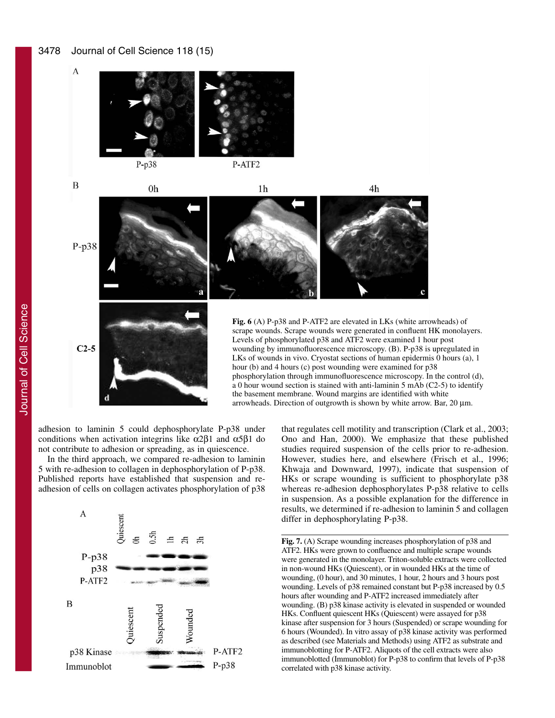#### 3478 Journal of Cell Science 118 (15)

 $P-p38$ P-ATF2

 $\overline{B}$ 

 $P-p38$ 

 $C2-5$ 

 $\overline{A}$ 



**Fig. 6** (A) P-p38 and P-ATF2 are elevated in LKs (white arrowheads) of scrape wounds. Scrape wounds were generated in confluent HK monolayers. Levels of phosphorylated p38 and ATF2 were examined 1 hour post wounding by immunofluorescence microscopy. (B). P-p38 is upregulated in LKs of wounds in vivo. Cryostat sections of human epidermis 0 hours (a), 1 hour (b) and 4 hours (c) post wounding were examined for p38 phosphorylation through immunofluorescence microscopy. In the control (d), a 0 hour wound section is stained with anti-laminin 5 mAb (C2-5) to identify the basement membrane. Wound margins are identified with white arrowheads. Direction of outgrowth is shown by white arrow. Bar, 20 μm.

adhesion to laminin 5 could dephosphorylate P-p38 under conditions when activation integrins like  $\alpha$ 2β1 and  $\alpha$ 5β1 do not contribute to adhesion or spreading, as in quiescence.

0h

In the third approach, we compared re-adhesion to laminin 5 with re-adhesion to collagen in dephosphorylation of P-p38. Published reports have established that suspension and readhesion of cells on collagen activates phosphorylation of p38



that regulates cell motility and transcription (Clark et al., 2003; Ono and Han, 2000). We emphasize that these published studies required suspension of the cells prior to re-adhesion. However, studies here, and elsewhere (Frisch et al., 1996; Khwaja and Downward, 1997), indicate that suspension of HKs or scrape wounding is sufficient to phosphorylate p38 whereas re-adhesion dephosphorylates P-p38 relative to cells in suspension. As a possible explanation for the difference in results, we determined if re-adhesion to laminin 5 and collagen differ in dephosphorylating P-p38.

**Fig. 7.** (A) Scrape wounding increases phosphorylation of p38 and ATF2. HKs were grown to confluence and multiple scrape wounds were generated in the monolayer. Triton-soluble extracts were collected in non-wound HKs (Quiescent), or in wounded HKs at the time of wounding, (0 hour), and 30 minutes, 1 hour, 2 hours and 3 hours post wounding. Levels of p38 remained constant but P-p38 increased by 0.5 hours after wounding and P-ATF2 increased immediately after wounding. (B) p38 kinase activity is elevated in suspended or wounded HKs. Confluent quiescent HKs (Quiescent) were assayed for p38 kinase after suspension for 3 hours (Suspended) or scrape wounding for 6 hours (Wounded). In vitro assay of p38 kinase activity was performed as described (see Materials and Methods) using ATF2 as substrate and immunoblotting for P-ATF2. Aliquots of the cell extracts were also immunoblotted (Immunoblot) for P-p38 to confirm that levels of P-p38 correlated with p38 kinase activity.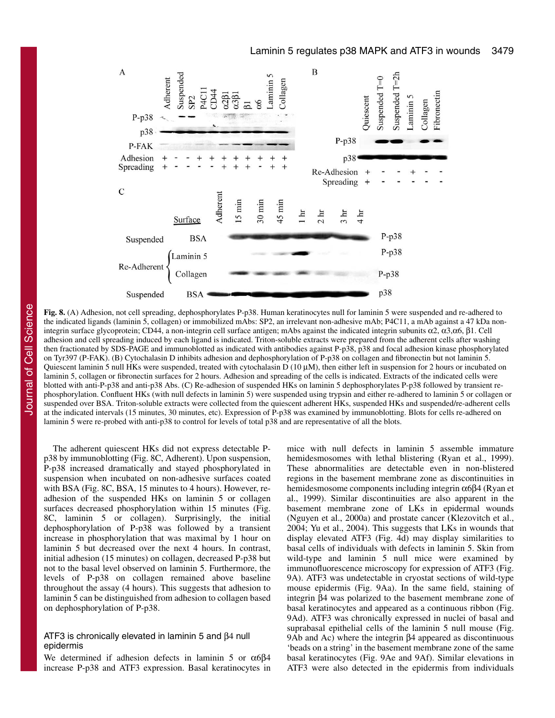

**Fig. 8.** (A) Adhesion, not cell spreading, dephosphorylates P-p38. Human keratinocytes null for laminin 5 were suspended and re-adhered to the indicated ligands (laminin 5, collagen) or immobilized mAbs: SP2, an irrelevant non-adhesive mAb; P4C11, a mAb against a 47 kDa nonintegrin surface glycoprotein; CD44, a non-integrin cell surface antigen; mAbs against the indicated integrin subunits α2, α3,α6, β1. Cell adhesion and cell spreading induced by each ligand is indicated. Triton-soluble extracts were prepared from the adherent cells after washing then fractionated by SDS-PAGE and immunoblotted as indicated with antibodies against P-p38, p38 and focal adhesion kinase phosphorylated on Tyr397 (P-FAK). (B) Cytochalasin D inhibits adhesion and dephosphorylation of P-p38 on collagen and fibronectin but not laminin 5. Quiescent laminin 5 null HKs were suspended, treated with cytochalasin  $D(10 \mu M)$ , then either left in suspension for 2 hours or incubated on laminin 5, collagen or fibronectin surfaces for 2 hours. Adhesion and spreading of the cells is indicated. Extracts of the indicated cells were blotted with anti-P-p38 and anti-p38 Abs. (C) Re-adhesion of suspended HKs on laminin 5 dephosphorylates P-p38 followed by transient rephosphorylation. Confluent HKs (with null defects in laminin 5) were suspended using trypsin and either re-adhered to laminin 5 or collagen or suspended over BSA. Triton-soluble extracts were collected from the quiescent adherent HKs, suspended HKs and suspended/re-adherent cells at the indicated intervals (15 minutes, 30 minutes, etc). Expression of P-p38 was examined by immunoblotting. Blots for cells re-adhered on laminin 5 were re-probed with anti-p38 to control for levels of total p38 and are representative of all the blots.

The adherent quiescent HKs did not express detectable Pp38 by immunoblotting (Fig. 8C, Adherent). Upon suspension, P-p38 increased dramatically and stayed phosphorylated in suspension when incubated on non-adhesive surfaces coated with BSA (Fig. 8C, BSA, 15 minutes to 4 hours). However, readhesion of the suspended HKs on laminin 5 or collagen surfaces decreased phosphorylation within 15 minutes (Fig. 8C, laminin 5 or collagen). Surprisingly, the initial dephosphorylation of P-p38 was followed by a transient increase in phosphorylation that was maximal by 1 hour on laminin 5 but decreased over the next 4 hours. In contrast, initial adhesion (15 minutes) on collagen, decreased P-p38 but not to the basal level observed on laminin 5. Furthermore, the levels of P-p38 on collagen remained above baseline throughout the assay (4 hours). This suggests that adhesion to laminin 5 can be distinguished from adhesion to collagen based on dephosphorylation of P-p38.

### ATF3 is chronically elevated in laminin 5 and β4 null epidermis

We determined if adhesion defects in laminin 5 or  $\alpha$ 6 $\beta$ 4 increase P-p38 and ATF3 expression. Basal keratinocytes in

mice with null defects in laminin 5 assemble immature hemidesmosomes with lethal blistering (Ryan et al., 1999). These abnormalities are detectable even in non-blistered regions in the basement membrane zone as discontinuities in hemidesmosome components including integrin α6β4 (Ryan et al., 1999). Similar discontinuities are also apparent in the basement membrane zone of LKs in epidermal wounds (Nguyen et al., 2000a) and prostate cancer (Klezovitch et al., 2004; Yu et al., 2004). This suggests that LKs in wounds that display elevated ATF3 (Fig. 4d) may display similarities to basal cells of individuals with defects in laminin 5. Skin from wild-type and laminin 5 null mice were examined by immunofluorescence microscopy for expression of ATF3 (Fig. 9A). ATF3 was undetectable in cryostat sections of wild-type mouse epidermis (Fig. 9Aa). In the same field, staining of integrin β4 was polarized to the basement membrane zone of basal keratinocytes and appeared as a continuous ribbon (Fig. 9Ad). ATF3 was chronically expressed in nuclei of basal and suprabasal epithelial cells of the laminin 5 null mouse (Fig. 9Ab and Ac) where the integrin β4 appeared as discontinuous 'beads on a string' in the basement membrane zone of the same basal keratinocytes (Fig. 9Ae and 9Af). Similar elevations in ATF3 were also detected in the epidermis from individuals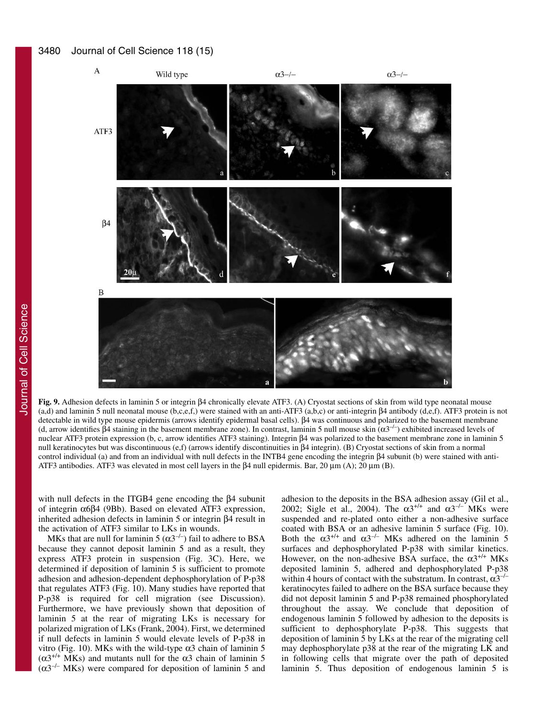#### 3480 Journal of Cell Science 118 (15)



**Fig. 9.** Adhesion defects in laminin 5 or integrin β4 chronically elevate ATF3. (A) Cryostat sections of skin from wild type neonatal mouse (a,d) and laminin 5 null neonatal mouse (b,c,e,f,) were stained with an anti-ATF3 (a,b,c) or anti-integrin β4 antibody (d,e,f). ATF3 protein is not detectable in wild type mouse epidermis (arrows identify epidermal basal cells). β4 was continuous and polarized to the basement membrane (d, arrow identifies β4 staining in the basement membrane zone). In contrast, laminin 5 null mouse skin  $(α3<sup>-/-</sup>)$  exhibited increased levels of nuclear ATF3 protein expression (b, c, arrow identifies ATF3 staining). Integrin β4 was polarized to the basement membrane zone in laminin 5 null keratinocytes but was discontinuous (e,f) (arrows identify discontinuities in β4 integrin). (B) Cryostat sections of skin from a normal control individual (a) and from an individual with null defects in the INTB4 gene encoding the integrin β4 subunit (b) were stained with anti-ATF3 antibodies. ATF3 was elevated in most cell layers in the β4 null epidermis. Bar, 20 μm (A); 20 μm (B).

with null defects in the ITGΒ4 gene encoding the β4 subunit of integrin α6β4 (9Bb). Based on elevated ATF3 expression, inherited adhesion defects in laminin 5 or integrin β4 result in the activation of ATF3 similar to LKs in wounds.

MKs that are null for laminin 5 ( $\alpha$ 3<sup>-/-</sup>) fail to adhere to BSA because they cannot deposit laminin 5 and as a result, they express ATF3 protein in suspension (Fig. 3C). Here, we determined if deposition of laminin 5 is sufficient to promote adhesion and adhesion-dependent dephosphorylation of P-p38 that regulates ATF3 (Fig. 10). Many studies have reported that P-p38 is required for cell migration (see Discussion). Furthermore, we have previously shown that deposition of laminin 5 at the rear of migrating LKs is necessary for polarized migration of LKs (Frank, 2004). First, we determined if null defects in laminin 5 would elevate levels of P-p38 in vitro (Fig. 10). MKs with the wild-type α3 chain of laminin 5  $(\alpha 3^{+/+}$  MKs) and mutants null for the  $\alpha$ 3 chain of laminin 5  $(\alpha 3^{-/-}$  MKs) were compared for deposition of laminin 5 and

adhesion to the deposits in the BSA adhesion assay (Gil et al., 2002; Sigle et al., 2004). The  $\alpha 3^{+/+}$  and  $\alpha 3^{-/-}$  MKs were suspended and re-plated onto either a non-adhesive surface coated with BSA or an adhesive laminin 5 surface (Fig. 10). Both the  $\alpha 3^{+/+}$  and  $\alpha 3^{-/-}$  MKs adhered on the laminin 5 surfaces and dephosphorylated P-p38 with similar kinetics. However, on the non-adhesive BSA surface, the  $\alpha$ 3<sup>+/+</sup> MKs deposited laminin 5, adhered and dephosphorylated P-p38 within 4 hours of contact with the substratum. In contrast,  $\alpha 3^{-/-}$ keratinocytes failed to adhere on the BSA surface because they did not deposit laminin 5 and P-p38 remained phosphorylated throughout the assay. We conclude that deposition of endogenous laminin 5 followed by adhesion to the deposits is sufficient to dephosphorylate P-p38. This suggests that deposition of laminin 5 by LKs at the rear of the migrating cell may dephosphorylate p38 at the rear of the migrating LK and in following cells that migrate over the path of deposited laminin 5. Thus deposition of endogenous laminin 5 is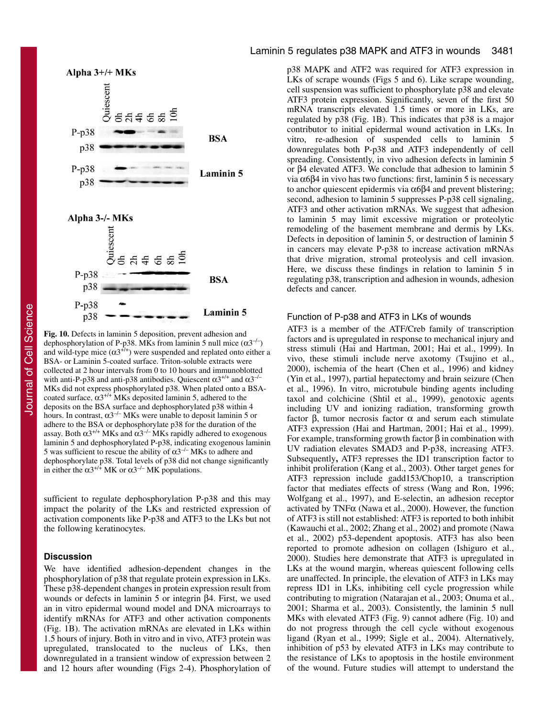

**Fig. 10.** Defects in laminin 5 deposition, prevent adhesion and dephosphorylation of P-p38. MKs from laminin 5 null mice  $(\alpha 3^{-/-})$ and wild-type mice  $(\alpha 3^{+/})$  were suspended and replated onto either a BSA- or Laminin 5-coated surface. Triton-soluble extracts were collected at 2 hour intervals from 0 to 10 hours and immunoblotted with anti-P-p38 and anti-p38 antibodies. Quiescent  $\alpha 3^{+/+}$  and  $\alpha 3^{-/-}$ MKs did not express phosphorylated p38. When plated onto a BSAcoated surface,  $\alpha 3^{+/+}$  MKs deposited laminin 5, adhered to the deposits on the BSA surface and dephosphorylated p38 within 4 hours. In contrast,  $\alpha 3^{-/-}$  MKs were unable to deposit laminin 5 or adhere to the BSA or dephosphorylate p38 for the duration of the assay. Both  $\alpha$ 3<sup>+/+</sup> MKs and  $\alpha$ 3<sup>-/-</sup> MKs rapidly adhered to exogenous laminin 5 and dephosphorylated P-p38, indicating exogenous laminin 5 was sufficient to rescue the ability of  $\alpha$ 3<sup>-/–</sup> MKs to adhere and dephosphorylate p38. Total levels of p38 did not change significantly in either the  $\alpha 3^{+/+}$  MK or  $\alpha 3^{-/-}$  MK populations.

sufficient to regulate dephosphorylation P-p38 and this may impact the polarity of the LKs and restricted expression of activation components like P-p38 and ATF3 to the LKs but not the following keratinocytes.

#### **Discussion**

We have identified adhesion-dependent changes in the phosphorylation of p38 that regulate protein expression in LKs. These p38-dependent changes in protein expression result from wounds or defects in laminin 5 or integrin β4. First, we used an in vitro epidermal wound model and DNA microarrays to identify mRNAs for ATF3 and other activation components (Fig. 1B). The activation mRNAs are elevated in LKs within 1.5 hours of injury. Both in vitro and in vivo, ATF3 protein was upregulated, translocated to the nucleus of LKs, then downregulated in a transient window of expression between 2 and 12 hours after wounding (Figs 2-4). Phosphorylation of

### Laminin 5 regulates p38 MAPK and ATF3 in wounds 3481

p38 MAPK and ATF2 was required for ATF3 expression in LKs of scrape wounds (Figs 5 and 6). Like scrape wounding, cell suspension was sufficient to phosphorylate p38 and elevate ATF3 protein expression. Significantly, seven of the first 50 mRNA transcripts elevated 1.5 times or more in LKs, are regulated by p38 (Fig. 1B). This indicates that p38 is a major contributor to initial epidermal wound activation in LKs. In vitro, re-adhesion of suspended cells to laminin 5 downregulates both P-p38 and ATF3 independently of cell spreading. Consistently, in vivo adhesion defects in laminin 5 or β4 elevated ATF3. We conclude that adhesion to laminin 5 via α6β4 in vivo has two functions: first, laminin 5 is necessary to anchor quiescent epidermis via  $α6β4$  and prevent blistering; second, adhesion to laminin 5 suppresses P-p38 cell signaling, ATF3 and other activation mRNAs. We suggest that adhesion to laminin 5 may limit excessive migration or proteolytic remodeling of the basement membrane and dermis by LKs. Defects in deposition of laminin 5, or destruction of laminin 5 in cancers may elevate P-p38 to increase activation mRNAs that drive migration, stromal proteolysis and cell invasion. Here, we discuss these findings in relation to laminin 5 in regulating p38, transcription and adhesion in wounds, adhesion defects and cancer.

#### Function of P-p38 and ATF3 in LKs of wounds

ATF3 is a member of the ATF/Creb family of transcription factors and is upregulated in response to mechanical injury and stress stimuli (Hai and Hartman, 2001; Hai et al., 1999). In vivo, these stimuli include nerve axotomy (Tsujino et al., 2000), ischemia of the heart (Chen et al., 1996) and kidney (Yin et al., 1997), partial hepatectomy and brain seizure (Chen et al., 1996). In vitro, microtubule binding agents including taxol and colchicine (Shtil et al., 1999), genotoxic agents including UV and ionizing radiation, transforming growth factor β, tumor necrosis factor α and serum each stimulate ATF3 expression (Hai and Hartman, 2001; Hai et al., 1999). For example, transforming growth factor β in combination with UV radiation elevates SMAD3 and P-p38, increasing ATF3. Subsequently**,** ATF3 represses the ID1 transcription factor to inhibit proliferation (Kang et al., 2003). Other target genes for ATF3 repression include gadd153/Chop10, a transcription factor that mediates effects of stress (Wang and Ron, 1996; Wolfgang et al., 1997), and E-selectin, an adhesion receptor activated by TNF $\alpha$  (Nawa et al., 2000). However, the function of ATF3 is still not established: ATF3 is reported to both inhibit (Kawauchi et al., 2002; Zhang et al., 2002) and promote (Nawa et al., 2002) p53-dependent apoptosis. ATF3 has also been reported to promote adhesion on collagen (Ishiguro et al., 2000). Studies here demonstrate that ATF3 is upregulated in LKs at the wound margin, whereas quiescent following cells are unaffected. In principle, the elevation of ATF3 in LKs may repress ID1 in LKs, inhibiting cell cycle progression while contributing to migration (Natarajan et al., 2003; Onuma et al., 2001; Sharma et al., 2003). Consistently, the laminin 5 null MKs with elevated ATF3 (Fig. 9) cannot adhere (Fig. 10) and do not progress through the cell cycle without exogenous ligand (Ryan et al., 1999; Sigle et al., 2004). Alternatively, inhibition of p53 by elevated ATF3 in LKs may contribute to the resistance of LKs to apoptosis in the hostile environment of the wound. Future studies will attempt to understand the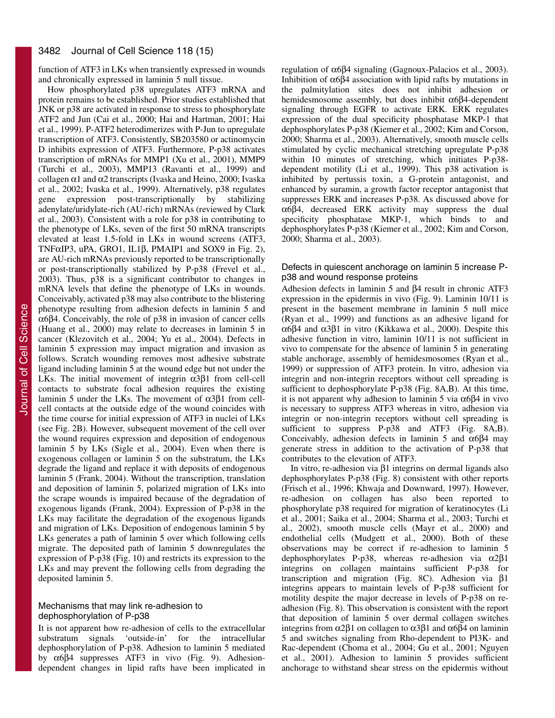function of ATF3 in LKs when transiently expressed in wounds and chronically expressed in laminin 5 null tissue.

How phosphorylated p38 upregulates ATF3 mRNA and protein remains to be established. Prior studies established that JNK or p38 are activated in response to stress to phosphorylate ATF2 and Jun (Cai et al., 2000; Hai and Hartman, 2001; Hai et al., 1999). P-ATF2 heterodimerizes with P-Jun to upregulate transcription of ATF3. Consistently, SB203580 or actinomycin D inhibits expression of ATF3. Furthermore, P-p38 activates transcription of mRNAs for MMP1 (Xu et al., 2001), MMP9 (Turchi et al., 2003), MMP13 (Ravanti et al., 1999) and collagen  $\alpha$ 1 and  $\alpha$ 2 transcripts (Ivaska and Heino, 2000; Ivaska et al., 2002; Ivaska et al., 1999). Alternatively, p38 regulates gene expression post-transcriptionally by stabilizing adenylate/uridylate-rich (AU-rich) mRNAs (reviewed by Clark et al., 2003). Consistent with a role for p38 in contributing to the phenotype of LKs, seven of the first 50 mRNA transcripts elevated at least 1.5-fold in LKs in wound screens (ATF3, TNFαIP3, uPA, GRO1, IL1β, PMAIP1 and SOX9 in Fig. 2), are AU-rich mRNAs previously reported to be transcriptionally or post-transcriptionally stabilized by P-p38 (Frevel et al., 2003). Thus, p38 is a significant contributor to changes in mRNA levels that define the phenotype of LKs in wounds. Conceivably, activated p38 may also contribute to the blistering phenotype resulting from adhesion defects in laminin 5 and α6β4. Conceivably, the role of p38 in invasion of cancer cells (Huang et al., 2000) may relate to decreases in laminin 5 in cancer (Klezovitch et al., 2004; Yu et al., 2004). Defects in laminin 5 expression may impact migration and invasion as follows. Scratch wounding removes most adhesive substrate ligand including laminin 5 at the wound edge but not under the LKs. The initial movement of integrin  $\alpha$ 3 $\beta$ 1 from cell-cell contacts to substrate focal adhesion requires the existing laminin 5 under the LKs. The movement of α3β1 from cellcell contacts at the outside edge of the wound coincides with the time course for initial expression of ATF3 in nuclei of LKs (see Fig. 2B). However, subsequent movement of the cell over the wound requires expression and deposition of endogenous laminin 5 by LKs (Sigle et al., 2004). Even when there is exogenous collagen or laminin 5 on the substratum, the LKs degrade the ligand and replace it with deposits of endogenous laminin 5 (Frank, 2004). Without the transcription, translation and deposition of laminin 5, polarized migration of LKs into the scrape wounds is impaired because of the degradation of exogenous ligands (Frank, 2004). Expression of P-p38 in the LKs may facilitate the degradation of the exogenous ligands and migration of LKs. Deposition of endogenous laminin 5 by LKs generates a path of laminin 5 over which following cells migrate. The deposited path of laminin 5 downregulates the expression of P-p38 (Fig. 10) and restricts its expression to the LKs and may prevent the following cells from degrading the deposited laminin 5.

### Mechanisms that may link re-adhesion to dephosphorylation of P-p38

It is not apparent how re-adhesion of cells to the extracellular substratum signals 'outside-in' for the intracellular 'outside-in' for the intracellular dephosphorylation of P-p38. Adhesion to laminin 5 mediated by α6β4 suppresses ATF3 in vivo (Fig. 9). Adhesiondependent changes in lipid rafts have been implicated in regulation of α6β4 signaling (Gagnoux-Palacios et al., 2003). Inhibition of  $α6β4$  association with lipid rafts by mutations in the palmitylation sites does not inhibit adhesion or hemidesmosome assembly, but does inhibit  $\alpha$ 6 $\beta$ 4-dependent signaling through EGFR to activate ERK. ERK regulates expression of the dual specificity phosphatase MKP-1 that dephosphorylates P-p38 (Kiemer et al., 2002; Kim and Corson, 2000; Sharma et al., 2003). Alternatively, smooth muscle cells stimulated by cyclic mechanical stretching upregulate P-p38 within 10 minutes of stretching, which initiates P-p38 dependent motility (Li et al., 1999). This p38 activation is inhibited by pertussis toxin, a G-protein antagonist, and enhanced by suramin, a growth factor receptor antagonist that suppresses ERK and increases P-p38. As discussed above for α6β4, decreased ERK activity may suppress the dual specificity phosphatase MKP-1, which binds to and dephosphorylates P-p38 (Kiemer et al., 2002; Kim and Corson, 2000; Sharma et al., 2003).

#### Defects in quiescent anchorage on laminin 5 increase Pp38 and wound response proteins

Adhesion defects in laminin 5 and β4 result in chronic ATF3 expression in the epidermis in vivo (Fig. 9). Laminin 10/11 is present in the basement membrane in laminin 5 null mice (Ryan et al., 1999) and functions as an adhesive ligand for α6β4 and α3β1 in vitro (Kikkawa et al., 2000). Despite this adhesive function in vitro, laminin 10/11 is not sufficient in vivo to compensate for the absence of laminin 5 in generating stable anchorage, assembly of hemidesmosomes (Ryan et al., 1999) or suppression of ATF3 protein. In vitro, adhesion via integrin and non-integrin receptors without cell spreading is sufficient to dephosphorylate P-p38 (Fig. 8A,B). At this time, it is not apparent why adhesion to laminin 5 via  $\alpha$ 6β4 in vivo is necessary to suppress ATF3 whereas in vitro, adhesion via integrin or non-integrin receptors without cell spreading is sufficient to suppress P-p38 and ATF3 (Fig. 8A,B). Conceivably, adhesion defects in laminin 5 and  $α6β4$  may generate stress in addition to the activation of P-p38 that contributes to the elevation of ATF3.

In vitro, re-adhesion via β1 integrins on dermal ligands also dephosphorylates P-p38 (Fig. 8) consistent with other reports (Frisch et al., 1996; Khwaja and Downward, 1997). However, re-adhesion on collagen has also been reported to phosphorylate p38 required for migration of keratinocytes (Li et al., 2001; Saika et al., 2004; Sharma et al., 2003; Turchi et al., 2002), smooth muscle cells (Mayr et al., 2000) and endothelial cells (Mudgett et al., 2000). Both of these observations may be correct if re-adhesion to laminin 5 dephosphorylates P-p38, whereas re-adhesion via α2β1 integrins on collagen maintains sufficient P-p38 for transcription and migration (Fig. 8C). Adhesion via β1 integrins appears to maintain levels of P-p38 sufficient for motility despite the major decrease in levels of P-p38 on readhesion (Fig. 8). This observation is consistent with the report that deposition of laminin 5 over dermal collagen switches integrins from  $α2β1$  on collagen to  $α3β1$  and  $α6β4$  on laminin 5 and switches signaling from Rho-dependent to PI3K- and Rac-dependent (Choma et al., 2004; Gu et al., 2001; Nguyen et al., 2001). Adhesion to laminin 5 provides sufficient anchorage to withstand shear stress on the epidermis without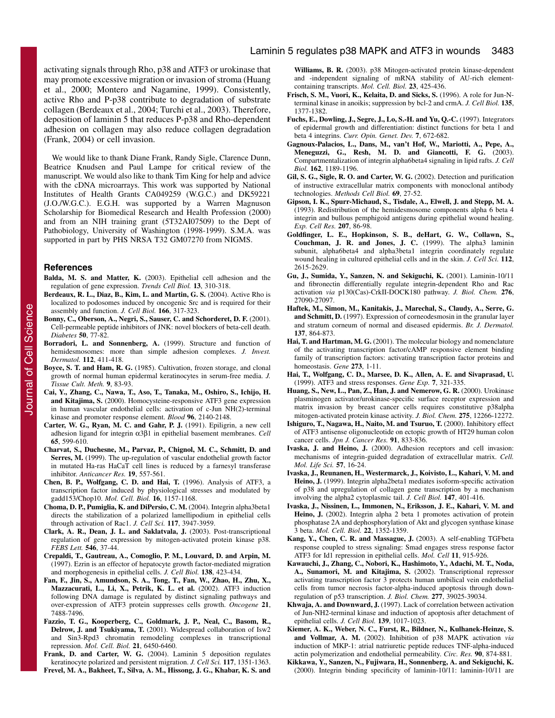activating signals through Rho, p38 and ATF3 or urokinase that may promote excessive migration or invasion of stroma (Huang et al., 2000; Montero and Nagamine, 1999). Consistently, active Rho and P-p38 contribute to degradation of substrate collagen (Berdeaux et al., 2004; Turchi et al., 2003). Therefore, deposition of laminin 5 that reduces P-p38 and Rho-dependent adhesion on collagen may also reduce collagen degradation (Frank, 2004) or cell invasion.

We would like to thank Diane Frank, Randy Sigle, Clarence Dunn, Beatrice Knudsen and Paul Lampe for critical review of the manuscript. We would also like to thank Tim King for help and advice with the cDNA microarrays. This work was supported by National Institutes of Health Grants CA049259 (W.G.C.) and DK59221 (J.O./W.G.C.). E.G.H. was supported by a Warren Magnuson Scholarship for Biomedical Research and Health Profession (2000) and from an NIH training grant (5T32AI07509) to the Dept of Pathobiology, University of Washington (1998-1999). S.M.A. was supported in part by PHS NRSA T32 GM07270 from NIGMS.

#### **References**

- **Balda, M. S. and Matter, K.** (2003). Epithelial cell adhesion and the regulation of gene expression. *Trends Cell Biol.* **13**, 310-318.
- **Berdeaux, R. L., Diaz, B., Kim, L. and Martin, G. S.** (2004). Active Rho is localized to podosomes induced by oncogenic Src and is required for their assembly and function. *J. Cell Biol.* **166**, 317-323.
- **Bonny, C., Oberson, A., Negri, S., Sauser, C. and Schorderet, D. F.** (2001). Cell-permeable peptide inhibitors of JNK: novel blockers of beta-cell death. *Diabetes* **50**, 77-82.
- **Borradori, L. and Sonnenberg, A.** (1999). Structure and function of hemidesmosomes: more than simple adhesion complexes. *J. Invest. Dermatol.* **112**, 411-418.
- **Boyce, S. T. and Ham, R. G.** (1985). Cultivation, frozen storage, and clonal growth of normal human epidermal keratinocytes in serum-free media. *J. Tissue Cult. Meth.* **9**, 83-93.
- **Cai, Y., Zhang, C., Nawa, T., Aso, T., Tanaka, M., Oshiro, S., Ichijo, H. and Kitajima, S.** (2000). Homocysteine-responsive ATF3 gene expression in human vascular endothelial cells: activation of c-Jun NH(2)-terminal kinase and promoter response element. *Blood* **96**, 2140-2148.
- **Carter, W. G., Ryan, M. C. and Gahr, P. J.** (1991). Epiligrin, a new cell adhesion ligand for integrin α3β1 in epithelial basement membranes. *Cell* **65**, 599-610.
- **Charvat, S., Duchesne, M., Parvaz, P., Chignol, M. C., Schmitt, D. and Serres, M.** (1999). The up-regulation of vascular endothelial growth factor in mutated Ha-ras HaCaT cell lines is reduced by a farnesyl transferase inhibitor. *Anticancer Res.* **19**, 557-561.
- **Chen, B. P., Wolfgang, C. D. and Hai, T.** (1996). Analysis of ATF3, a transcription factor induced by physiological stresses and modulated by gadd153/Chop10. *Mol. Cell. Biol.* **16**, 1157-1168.
- **Choma, D. P., Pumiglia, K. and DiPersio, C. M.** (2004). Integrin alpha3beta1 directs the stabilization of a polarized lamellipodium in epithelial cells through activation of Rac1. *J. Cell Sci.* **117**, 3947-3959.
- **Clark, A. R., Dean, J. L. and Saklatvala, J.** (2003). Post-transcriptional regulation of gene expression by mitogen-activated protein kinase p38. *FEBS Lett.* **546**, 37-44.
- **Crepaldi, T., Gautreau, A., Comoglio, P. M., Louvard, D. and Arpin, M.** (1997). Ezrin is an effector of hepatocyte growth factor-mediated migration and morphogenesis in epithelial cells. *J. Cell Biol.* **138**, 423-434.
- **Fan, F., Jin, S., Amundson, S. A., Tong, T., Fan, W., Zhao, H., Zhu, X., Mazzacurati, L., Li, X., Petrik, K. L. et al.** (2002). ATF3 induction following DNA damage is regulated by distinct signaling pathways and over-expression of ATF3 protein suppresses cells growth. *Oncogene* **21**, 7488-7496.
- **Fazzio, T. G., Kooperberg, C., Goldmark, J. P., Neal, C., Basom, R., Delrow, J. and Tsukiyama, T.** (2001). Widespread collaboration of Isw2 and Sin3-Rpd3 chromatin remodeling complexes in transcriptional repression. *Mol. Cell. Biol.* **21**, 6450-6460.
- **Frank, D. and Carter, W. G.** (2004). Laminin 5 deposition regulates keratinocyte polarized and persistent migration. *J. Cell Sci.* **117**, 1351-1363.
- **Frevel, M. A., Bakheet, T., Silva, A. M., Hissong, J. G., Khabar, K. S. and**

**Williams, B. R.** (2003). p38 Mitogen-activated protein kinase-dependent and -independent signaling of mRNA stability of AU-rich elementcontaining transcripts. *Mol. Cell. Biol.* **23**, 425-436.

- **Frisch, S. M., Vuori, K., Kelaita, D. and Sicks, S.** (1996). A role for Jun-Nterminal kinase in anoikis; suppression by bcl-2 and crmA. *J. Cell Biol.* **135**, 1377-1382.
- **Fuchs, E., Dowling, J., Segre, J., Lo, S.-H. and Yu, Q.-C.** (1997). Integrators of epidermal growth and differentiation: distinct functions for beta 1 and beta 4 integrins. *Curr. Opin. Genet. Dev.* **7**, 672-682.
- **Gagnoux-Palacios, L., Dans, M., van't Hof, W., Mariotti, A., Pepe, A., Meneguzzi, G., Resh, M. D. and Giancotti, F. G.** (2003). Compartmentalization of integrin alpha6beta4 signaling in lipid rafts. *J. Cell Biol.* **162**, 1189-1196.
- **Gil, S. G., Sigle, R. O. and Carter, W. G.** (2002). Detection and purification of instructive extracellular matrix components with monoclonal antibody technologies. *Methods Cell Biol.* **69**, 27-52.
- **Gipson, I. K., Spurr-Michaud, S., Tisdale, A., Elwell, J. and Stepp, M. A.** (1993). Redistribution of the hemidesmosome components alpha 6 beta 4 integrin and bullous pemphigoid antigens during epithelial wound healing. *Exp. Cell Res.* **207**, 86-98.
- **Goldfinger, L. E., Hopkinson, S. B., deHart, G. W., Collawn, S., Couchman, J. R. and Jones, J. C.** (1999). The alpha3 laminin subunit, alpha6beta4 and alpha3beta1 integrin coordinately regulate wound healing in cultured epithelial cells and in the skin. *J. Cell Sci.* **112**, 2615-2629.
- **Gu, J., Sumida, Y., Sanzen, N. and Sekiguchi, K.** (2001). Laminin-10/11 and fibronectin differentially regulate integrin-dependent Rho and Rac activation *via* p130(Cas)-CrkII-DOCK180 pathway. *J. Biol. Chem.* **276**, 27090-27097.
- **Haftek, M., Simon, M., Kanitakis, J., Marechal, S., Claudy, A., Serre, G. and Schmitt, D.** (1997). Expression of corneodesmosin in the granular layer and stratum corneum of normal and diseased epidermis. *Br. J. Dermatol.* **137**, 864-873.
- **Hai, T. and Hartman, M. G.** (2001). The molecular biology and nomenclature of the activating transcription factor/cAMP responsive element binding family of transcription factors: activating transcription factor proteins and homeostasis. *Gene* **273**, 1-11.
- **Hai, T., Wolfgang, C. D., Marsee, D. K., Allen, A. E. and Sivaprasad, U.** (1999). ATF3 and stress responses. *Gene Exp.* **7**, 321-335.
- **Huang, S., New, L., Pan, Z., Han, J. and Nemerow, G. R.** (2000). Urokinase plasminogen activator/urokinase-specific surface receptor expression and matrix invasion by breast cancer cells requires constitutive p38alpha mitogen-activated protein kinase activity. *J. Biol. Chem.* **275**, 12266-12272.
- **Ishiguro, T., Nagawa, H., Naito, M. and Tsuruo, T.** (2000). Inhibitory effect of ATF3 antisense oligonucleotide on ectopic growth of HT29 human colon cancer cells. *Jpn J. Cancer Res.* **91**, 833-836.
- **Ivaska, J. and Heino, J.** (2000). Adhesion receptors and cell invasion: mechanisms of integrin-guided degradation of extracellular matrix. *Cell. Mol. Life Sci.* **57**, 16-24.
- **Ivaska, J., Reunanen, H., Westermarck, J., Koivisto, L., Kahari, V. M. and Heino, J.** (1999). Integrin alpha2beta1 mediates isoform-specific activation of p38 and upregulation of collagen gene transcription by a mechanism involving the alpha2 cytoplasmic tail. *J. Cell Biol.* **147**, 401-416.
- **Ivaska, J., Nissinen, L., Immonen, N., Eriksson, J. E., Kahari, V. M. and** Heino, J. (2002). Integrin alpha 2 beta 1 promotes activation of protein phosphatase 2A and dephosphorylation of Akt and glycogen synthase kinase 3 beta. *Mol. Cell. Biol.* **22**, 1352-1359.
- **Kang, Y., Chen, C. R. and Massague, J.** (2003). A self-enabling TGFbeta response coupled to stress signaling: Smad engages stress response factor ATF3 for Id1 repression in epithelial cells. *Mol. Cell* **11**, 915-926.
- **Kawauchi, J., Zhang, C., Nobori, K., Hashimoto, Y., Adachi, M. T., Noda, A., Sunamori, M. and Kitajima, S.** (2002). Transcriptional repressor activating transcription factor 3 protects human umbilical vein endothelial cells from tumor necrosis factor-alpha-induced apoptosis through downregulation of p53 transcription. *J. Biol. Chem.* **277**, 39025-39034.
- **Khwaja, A. and Downward, J.** (1997). Lack of correlation between activation of Jun-NH2-terminal kinase and induction of apoptosis after detachment of epithelial cells. *J. Cell Biol.* **139**, 1017-1023.
- **Kiemer, A. K., Weber, N. C., Furst, R., Bildner, N., Kulhanek-Heinze, S. and Vollmar, A. M.** (2002). Inhibition of p38 MAPK activation *via* induction of MKP-1: atrial natriuretic peptide reduces TNF-alpha-induced actin polymerization and endothelial permeability. *Circ. Res.* **90**, 874-881.
- **Kikkawa, Y., Sanzen, N., Fujiwara, H., Sonnenberg, A. and Sekiguchi, K.** (2000). Integrin binding specificity of laminin-10/11: laminin-10/11 are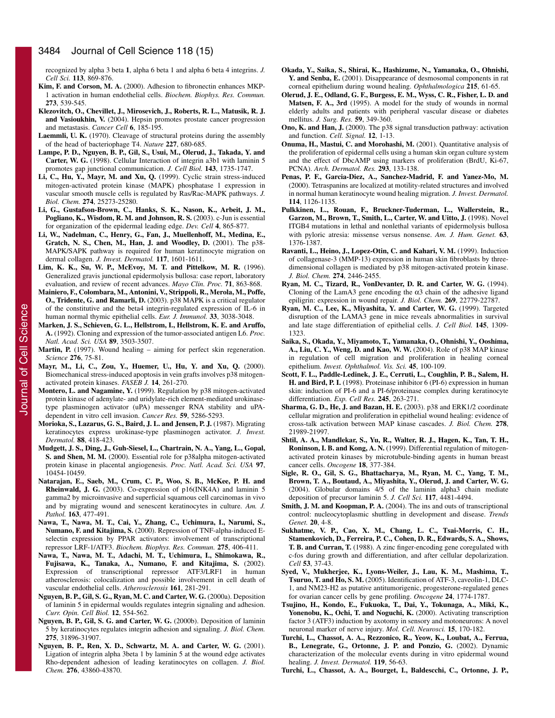recognized by alpha 3 beta **1**, alpha 6 beta 1 and alpha 6 beta 4 integrins. *J. Cell Sci.* **113**, 869-876.

- **Kim, F. and Corson, M. A.** (2000). Adhesion to fibronectin enhances MKP-1 activation in human endothelial cells. *Biochem. Biophys. Res. Commun.* **273**, 539-545.
- **Klezovitch, O., Chevillet, J., Mirosevich, J., Roberts, R. L., Matusik, R. J. and Vasioukhin, V.** (2004). Hepsin promotes prostate cancer progression and metastasis. *Cancer Cell* **6**, 185-195.
- **Laemmli, U. K.** (1970). Cleavage of structural proteins during the assembly of the head of bacteriophage T4. *Nature* **227**, 680-685.
- **Lampe, P. D., Nguyen, B. P., Gil, S., Usui, M., Olerud, J., Takada, Y. and Carter, W. G.** (1998). Cellular Interaction of integrin a3b1 with laminin 5 promotes gap junctional communication. *J. Cell Biol.* **143**, 1735-1747.
- **Li, C., Hu, Y., Mayr, M. and Xu, Q.** (1999). Cyclic strain stress-induced mitogen-activated protein kinase (MAPK) phosphatase 1 expression in vascular smooth muscle cells is regulated by Ras/Rac-MAPK pathways. *J. Biol. Chem.* **274**, 25273-25280.
- **Li, G., Gustafson-Brown, C., Hanks, S. K., Nason, K., Arbeit, J. M., Pogliano, K., Wisdom, R. M. and Johnson, R. S.** (2003). c-Jun is essential for organization of the epidermal leading edge. *Dev. Cell* **4**, 865-877.
- **Li, W., Nadelman, C., Henry, G., Fan, J., Muellenhoff, M., Medina, E., Gratch, N. S., Chen, M., Han, J. and Woodley, D.** (2001). The p38- MAPK/SAPK pathway is required for human keratinocyte migration on dermal collagen. *J. Invest. Dermatol.* **117**, 1601-1611.
- **Lim, K. K., Su, W. P., McEvoy, M. T. and Pittelkow, M. R.** (1996). Generalized gravis junctional epidermolysis bullosa: case report, laboratory evaluation, and review of recent advances. *Mayo Clin. Proc.* **71**, 863-868.
- **Mainiero, F., Colombara, M., Antonini, V., Strippoli, R., Merola, M., Poffe, O., Tridente, G. and Ramarli, D.** (2003). p38 MAPK is a critical regulator of the constitutive and the beta4 integrin-regulated expression of IL-6 in human normal thymic epithelial cells. *Eur. J. Immunol.* **33**, 3038-3048.
- **Marken, J. S., Schieven, G. L., Hellstrom, I., Hellstrom, K. E. and Aruffo, A.** (1992). Cloning and expression of the tumor-associated antigen L6. *Proc. Natl. Acad. Sci. USA* **89**, 3503-3507.
- **Martin, P.** (1997). Wound healing aiming for perfect skin regeneration. *Science* **276**, 75-81.
- **Mayr, M., Li, C., Zou, Y., Huemer, U., Hu, Y. and Xu, Q.** (2000). Biomechanical stress-induced apoptosis in vein grafts involves p38 mitogenactivated protein kinases. *FASEB J.* **14**, 261-270.
- **Montero, L. and Nagamine, Y.** (1999). Regulation by p38 mitogen-activated protein kinase of adenylate- and uridylate-rich element-mediated urokinasetype plasminogen activator (uPA) messenger RNA stability and uPAdependent in vitro cell invasion. *Cancer Res.* **59**, 5286-5293.
- **Morioka, S., Lazarus, G. S., Baird, J. L. and Jensen, P. J.** (1987). Migrating keratinocytes express urokinase-type plasminogen activator. *J. Invest. Dermatol.* **88**, 418-423.
- **Mudgett, J. S., Ding, J., Guh-Siesel, L., Chartrain, N. A., Yang, L., Gopal, S. and Shen, M. M.** (2000). Essential role for p38alpha mitogen-activated protein kinase in placental angiogenesis. *Proc. Natl. Acad. Sci. USA* **97**, 10454-10459.
- **Natarajan, E., Saeb, M., Crum, C. P., Woo, S. B., McKee, P. H. and Rheinwald, J. G.** (2003). Co-expression of p16(INK4A) and laminin 5 gamma2 by microinvasive and superficial squamous cell carcinomas in vivo and by migrating wound and senescent keratinocytes in culture. *Am. J. Pathol.* **163**, 477-491.
- **Nawa, T., Nawa, M. T., Cai, Y., Zhang, C., Uchimura, I., Narumi, S., Numano, F. and Kitajima, S.** (2000). Repression of TNF-alpha-induced Eselectin expression by PPAR activators: involvement of transcriptional repressor LRF-1/ATF3. *Biochem. Biophys. Res. Commun.* **275**, 406-411.
- **Nawa, T., Nawa, M. T., Adachi, M. T., Uchimura, I., Shimokawa, R., Fujisawa, K., Tanaka, A., Numano, F. and Kitajima, S.** (2002). Expression of transcriptional repressor ATF3/LRF1 in human atherosclerosis: colocalization and possible involvement in cell death of vascular endothelial cells. *Atherosclerosis* **161**, 281-291.
- **Nguyen, B. P., Gil, S. G., Ryan, M. C. and Carter, W. G.** (2000a). Deposition of laminin 5 in epidermal woulds regulates integrin signaling and adhesion. *Curr. Opin. Cell Biol.* **12**, 554-562.
- **Nguyen, B. P., Gil, S. G. and Carter, W. G.** (2000b). Deposition of laminin 5 by keratinocytes regulates integrin adhesion and signaling. *J. Biol. Chem.* **275**, 31896-31907.
- **Nguyen, B. P., Ren, X. D., Schwartz, M. A. and Carter, W. G.** (2001). Ligation of integrin alpha 3beta 1 by laminin 5 at the wound edge activates Rho-dependent adhesion of leading keratinocytes on collagen. *J. Biol. Chem.* **276**, 43860-43870.
- **Okada, Y., Saika, S., Shirai, K., Hashizume, N., Yamanaka, O., Ohnishi, Y. and Senba, E.** (2001). Disappearance of desmosomal components in rat corneal epithelium during wound healing. *Ophthalmologica* **215**, 61-65.
- **Olerud, J. E., Odland, G. F., Burgess, E. M., Wyss, C. R., Fisher, L. D. and Matsen, F. A., 3rd** (1995). A model for the study of wounds in normal elderly adults and patients with peripheral vascular disease or diabetes mellitus. *J. Surg. Res.* **59**, 349-360.
- **Ono, K. and Han, J.** (2000). The p38 signal transduction pathway: activation and function. *Cell. Signal.* **12**, 1-13.
- **Onuma, H., Mastui, C. and Morohashi, M.** (2001). Quantitative analysis of the proliferation of epidermal cells using a human skin organ culture system and the effect of DbcAMP using markers of proliferation (BrdU, Ki-67, PCNA). *Arch. Dermatol. Res.* **293**, 133-138.
- **Penas, P. F., Garcia-Diez, A., Sanchez-Madrid, F. and Yanez-Mo, M.** (2000). Tetraspanins are localized at motility-related structures and involved in normal human keratinocyte wound healing migration. *J. Invest. Dermatol.* **114**, 1126-1135.
- **Pulkkinen, L., Rouan, F., Bruckner-Tuderman, L., Wallerstein, R., Garzon, M., Brown, T., Smith, L., Carter, W. and Uitto, J.** (1998). Novel ITGB4 mutations in lethal and nonlethal variants of epidermolysis bullosa with pyloric atresia: missense versus nonsense. *Am. J. Hum. Genet.* **63**, 1376-1387.
- **Ravanti, L., Heino, J., Lopez-Otin, C. and Kahari, V. M.** (1999). Induction of collagenase-3 (MMP-13) expression in human skin fibroblasts by threedimensional collagen is mediated by p38 mitogen-activated protein kinase. *J. Biol. Chem.* **274**, 2446-2455.
- **Ryan, M. C., Tizard, R., VonDevanter, D. R. and Carter, W. G.** (1994). Cloning of the LamA3 gene encoding the  $\alpha$ 3 chain of the adhesive ligand epiligrin: expression in wound repair. *J. Biol. Chem.* **269**, 22779-22787.
- **Ryan, M. C., Lee, K., Miyashita, Y. and Carter, W. G.** (1999). Targeted disruption of the LAMA3 gene in mice reveals abnormalities in survival and late stage differentiation of epithelial cells. *J. Cell Biol.* **145**, 1309- 1323.
- **Saika, S., Okada, Y., Miyamoto, T., Yamanaka, O., Ohnishi, Y., Ooshima, A., Liu, C. Y., Weng, D. and Kao, W. W.** (2004). Role of p38 MAP kinase in regulation of cell migration and proliferation in healing corneal epithelium. *Invest. Ophthalmol. Vis. Sci.* **45**, 100-109.
- **Scott, F. L., Paddle-Ledinek, J. E., Cerruti, L., Coughlin, P. B., Salem, H. H. and Bird, P. I.** (1998). Proteinase inhibitor 6 (PI-6) expression in human skin: induction of PI-6 and a PI-6/proteinase complex during keratinocyte differentiation. *Exp. Cell Res.* **245**, 263-271.
- **Sharma, G. D., He, J. and Bazan, H. E.** (2003). p38 and ERK1/2 coordinate cellular migration and proliferation in epithelial wound healing: evidence of cross-talk activation between MAP kinase cascades. *J. Biol. Chem.* **278**, 21989-21997.
- **Shtil, A. A., Mandlekar, S., Yu, R., Walter, R. J., Hagen, K., Tan, T. H., Roninson, I. B. and Kong, A. N.** (1999). Differential regulation of mitogenactivated protein kinases by microtubule-binding agents in human breast cancer cells. *Oncogene* **18**, 377-384.
- **Sigle, R. O., Gil, S. G., Bhattacharya, M., Ryan, M. C., Yang, T. M., Brown, T. A., Boutaud, A., Miyashita, Y., Olerud, J. and Carter, W. G.** (2004). Globular domains 4/5 of the laminin alpha3 chain mediate deposition of precursor laminin 5. *J. Cell Sci.* **117**, 4481-4494.
- **Smith, J. M. and Koopman, P. A.** (2004). The ins and outs of transcriptional control: nucleocytoplasmic shuttling in development and disease. *Trends Genet.* **20**, 4-8.
- **Sukhatme, V. P., Cao, X. M., Chang, L. C., Tsai-Morris, C. H., Stamenkovich, D., Ferreira, P. C., Cohen, D. R., Edwards, S. A., Shows, T. B. and Curran, T.** (1988). A zinc finger-encoding gene coregulated with c-fos during growth and differentiation, and after cellular depolarization. *Cell* **53**, 37-43.
- **Syed, V., Mukherjee, K., Lyons-Weiler, J., Lau, K. M., Mashima, T., Tsuruo, T. and Ho, S. M.** (2005). Identification of ATF-3, caveolin-1, DLC-1, and NM23-H2 as putative antitumorigenic, progesterone-regulated genes for ovarian cancer cells by gene profiling. *Oncogene* **24**, 1774-1787.
- **Tsujino, H., Kondo, E., Fukuoka, T., Dai, Y., Tokunaga, A., Miki, K., Yonenobu, K., Ochi, T. and Noguchi, K.** (2000). Activating transcription factor 3 (ATF3) induction by axotomy in sensory and motoneurons: A novel neuronal marker of nerve injury. *Mol. Cell. Neurosci.* **15**, 170-182.
- **Turchi, L., Chassot, A. A., Rezzonico, R., Yeow, K., Loubat, A., Ferrua, B., Lenegrate, G., Ortonne, J. P. and Ponzio, G.** (2002). Dynamic characterization of the molecular events during in vitro epidermal wound healing. *J. Invest. Dermatol.* **119**, 56-63.
- **Turchi, L., Chassot, A. A., Bourget, I., Baldescchi, C., Ortonne, J. P.,**